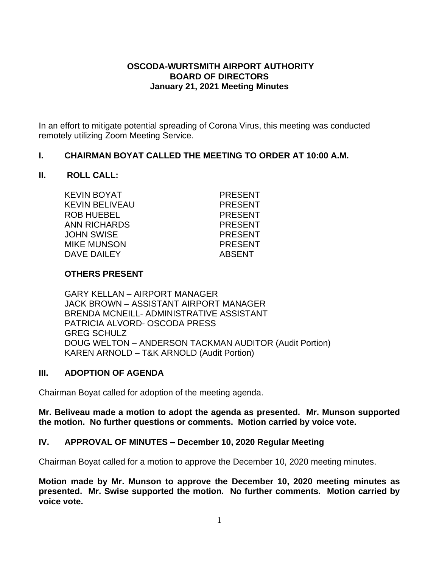### **OSCODA-WURTSMITH AIRPORT AUTHORITY BOARD OF DIRECTORS January 21, 2021 Meeting Minutes**

In an effort to mitigate potential spreading of Corona Virus, this meeting was conducted remotely utilizing Zoom Meeting Service.

### **I. CHAIRMAN BOYAT CALLED THE MEETING TO ORDER AT 10:00 A.M.**

### **II. ROLL CALL:**

KEVIN BOYAT PRESENT KEVIN BELIVEAU PRESENT ROB HUEBEL PRESENT ANN RICHARDS PRESENT JOHN SWISE PRESENT MIKE MUNSON PRESENT DAVE DAILEY ABSENT

#### **OTHERS PRESENT**

GARY KELLAN – AIRPORT MANAGER JACK BROWN – ASSISTANT AIRPORT MANAGER BRENDA MCNEILL- ADMINISTRATIVE ASSISTANT PATRICIA ALVORD- OSCODA PRESS GREG SCHULZ DOUG WELTON – ANDERSON TACKMAN AUDITOR (Audit Portion) KAREN ARNOLD – T&K ARNOLD (Audit Portion)

### **III. ADOPTION OF AGENDA**

Chairman Boyat called for adoption of the meeting agenda.

**Mr. Beliveau made a motion to adopt the agenda as presented. Mr. Munson supported the motion. No further questions or comments. Motion carried by voice vote.**

### **IV. APPROVAL OF MINUTES – December 10, 2020 Regular Meeting**

Chairman Boyat called for a motion to approve the December 10, 2020 meeting minutes.

**Motion made by Mr. Munson to approve the December 10, 2020 meeting minutes as presented. Mr. Swise supported the motion. No further comments. Motion carried by voice vote.**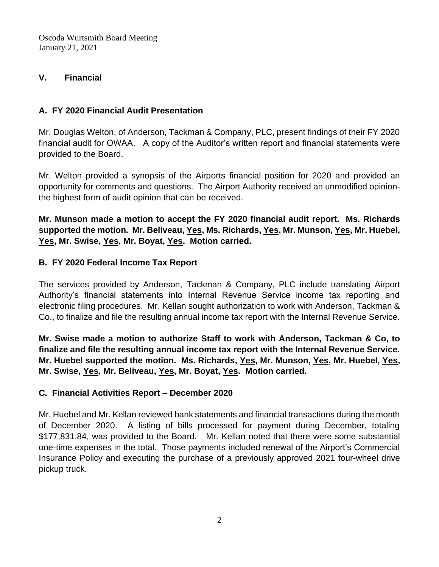### **V. Financial**

## **A. FY 2020 Financial Audit Presentation**

Mr. Douglas Welton, of Anderson, Tackman & Company, PLC, present findings of their FY 2020 financial audit for OWAA. A copy of the Auditor's written report and financial statements were provided to the Board.

Mr. Welton provided a synopsis of the Airports financial position for 2020 and provided an opportunity for comments and questions. The Airport Authority received an unmodified opinionthe highest form of audit opinion that can be received.

**Mr. Munson made a motion to accept the FY 2020 financial audit report. Ms. Richards supported the motion. Mr. Beliveau, Yes, Ms. Richards, Yes, Mr. Munson, Yes, Mr. Huebel, Yes, Mr. Swise, Yes, Mr. Boyat, Yes. Motion carried.**

### **B. FY 2020 Federal Income Tax Report**

The services provided by Anderson, Tackman & Company, PLC include translating Airport Authority's financial statements into Internal Revenue Service income tax reporting and electronic filing procedures. Mr. Kellan sought authorization to work with Anderson, Tackman & Co., to finalize and file the resulting annual income tax report with the Internal Revenue Service.

**Mr. Swise made a motion to authorize Staff to work with Anderson, Tackman & Co, to finalize and file the resulting annual income tax report with the Internal Revenue Service. Mr. Huebel supported the motion. Ms. Richards, Yes, Mr. Munson, Yes, Mr. Huebel, Yes, Mr. Swise, Yes, Mr. Beliveau, Yes, Mr. Boyat, Yes. Motion carried.**

## **C. Financial Activities Report – December 2020**

Mr. Huebel and Mr. Kellan reviewed bank statements and financial transactions during the month of December 2020. A listing of bills processed for payment during December, totaling \$177,831.84, was provided to the Board. Mr. Kellan noted that there were some substantial one-time expenses in the total. Those payments included renewal of the Airport's Commercial Insurance Policy and executing the purchase of a previously approved 2021 four-wheel drive pickup truck.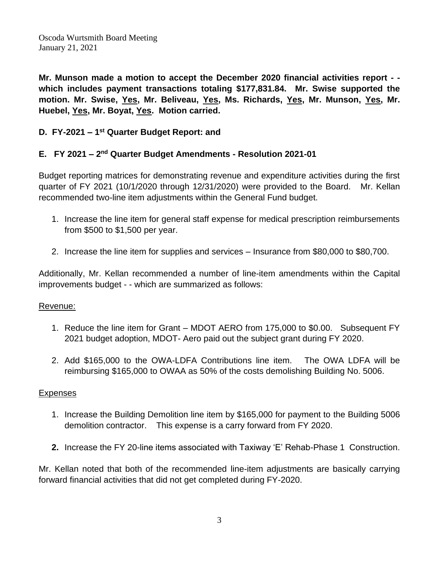**Mr. Munson made a motion to accept the December 2020 financial activities report - which includes payment transactions totaling \$177,831.84. Mr. Swise supported the motion. Mr. Swise, Yes, Mr. Beliveau, Yes, Ms. Richards, Yes, Mr. Munson, Yes, Mr. Huebel, Yes, Mr. Boyat, Yes. Motion carried.**

## **D. FY-2021 – 1 st Quarter Budget Report: and**

## **E.** FY 2021 - 2<sup>nd</sup> Quarter Budget Amendments - Resolution 2021-01

Budget reporting matrices for demonstrating revenue and expenditure activities during the first quarter of FY 2021 (10/1/2020 through 12/31/2020) were provided to the Board. Mr. Kellan recommended two-line item adjustments within the General Fund budget.

- 1. Increase the line item for general staff expense for medical prescription reimbursements from \$500 to \$1,500 per year.
- 2. Increase the line item for supplies and services Insurance from \$80,000 to \$80,700.

Additionally, Mr. Kellan recommended a number of line-item amendments within the Capital improvements budget - - which are summarized as follows:

### Revenue:

- 1. Reduce the line item for Grant MDOT AERO from 175,000 to \$0.00. Subsequent FY 2021 budget adoption, MDOT- Aero paid out the subject grant during FY 2020.
- 2. Add \$165,000 to the OWA-LDFA Contributions line item. The OWA LDFA will be reimbursing \$165,000 to OWAA as 50% of the costs demolishing Building No. 5006.

### Expenses

- 1. Increase the Building Demolition line item by \$165,000 for payment to the Building 5006 demolition contractor. This expense is a carry forward from FY 2020.
- **2.** Increase the FY 20-line items associated with Taxiway 'E' Rehab-Phase 1 Construction.

Mr. Kellan noted that both of the recommended line-item adjustments are basically carrying forward financial activities that did not get completed during FY-2020.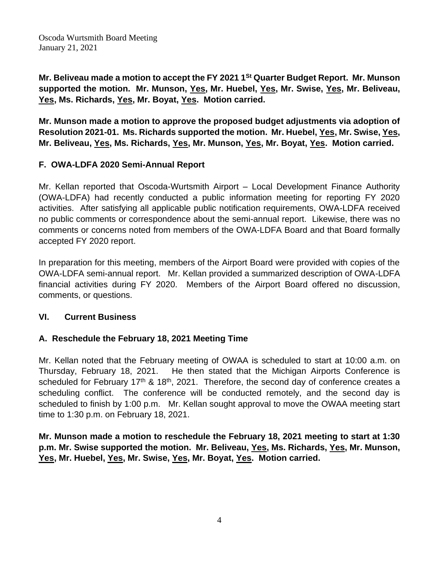**Mr. Beliveau made a motion to accept the FY 2021 1St Quarter Budget Report. Mr. Munson supported the motion. Mr. Munson, Yes, Mr. Huebel, Yes, Mr. Swise, Yes, Mr. Beliveau, Yes, Ms. Richards, Yes, Mr. Boyat, Yes. Motion carried.**

**Mr. Munson made a motion to approve the proposed budget adjustments via adoption of Resolution 2021-01. Ms. Richards supported the motion. Mr. Huebel, Yes, Mr. Swise, Yes, Mr. Beliveau, Yes, Ms. Richards, Yes, Mr. Munson, Yes, Mr. Boyat, Yes. Motion carried.**

## **F. OWA-LDFA 2020 Semi-Annual Report**

Mr. Kellan reported that Oscoda-Wurtsmith Airport – Local Development Finance Authority (OWA-LDFA) had recently conducted a public information meeting for reporting FY 2020 activities. After satisfying all applicable public notification requirements, OWA-LDFA received no public comments or correspondence about the semi-annual report. Likewise, there was no comments or concerns noted from members of the OWA-LDFA Board and that Board formally accepted FY 2020 report.

In preparation for this meeting, members of the Airport Board were provided with copies of the OWA-LDFA semi-annual report. Mr. Kellan provided a summarized description of OWA-LDFA financial activities during FY 2020. Members of the Airport Board offered no discussion, comments, or questions.

## **VI. Current Business**

# **A. Reschedule the February 18, 2021 Meeting Time**

Mr. Kellan noted that the February meeting of OWAA is scheduled to start at 10:00 a.m. on Thursday, February 18, 2021. He then stated that the Michigan Airports Conference is scheduled for February  $17<sup>th</sup>$  &  $18<sup>th</sup>$ , 2021. Therefore, the second day of conference creates a scheduling conflict. The conference will be conducted remotely, and the second day is scheduled to finish by 1:00 p.m. Mr. Kellan sought approval to move the OWAA meeting start time to 1:30 p.m. on February 18, 2021.

**Mr. Munson made a motion to reschedule the February 18, 2021 meeting to start at 1:30 p.m. Mr. Swise supported the motion. Mr. Beliveau, Yes, Ms. Richards, Yes, Mr. Munson, Yes, Mr. Huebel, Yes, Mr. Swise, Yes, Mr. Boyat, Yes. Motion carried.**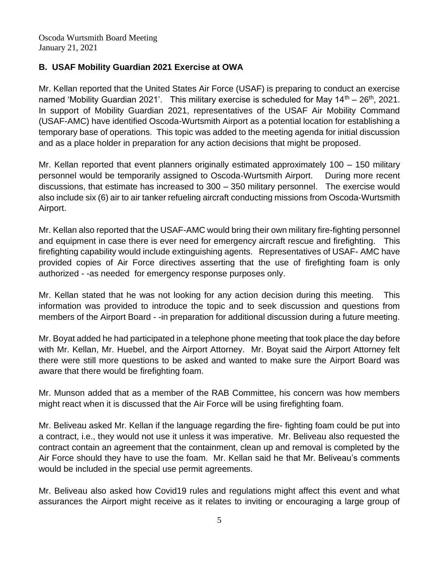# **B. USAF Mobility Guardian 2021 Exercise at OWA**

Mr. Kellan reported that the United States Air Force (USAF) is preparing to conduct an exercise named 'Mobility Guardian 2021'. This military exercise is scheduled for May  $14<sup>th</sup> - 26<sup>th</sup>$ , 2021. In support of Mobility Guardian 2021, representatives of the USAF Air Mobility Command (USAF-AMC) have identified Oscoda-Wurtsmith Airport as a potential location for establishing a temporary base of operations. This topic was added to the meeting agenda for initial discussion and as a place holder in preparation for any action decisions that might be proposed.

Mr. Kellan reported that event planners originally estimated approximately 100 – 150 military personnel would be temporarily assigned to Oscoda-Wurtsmith Airport. During more recent discussions, that estimate has increased to 300 – 350 military personnel. The exercise would also include six (6) air to air tanker refueling aircraft conducting missions from Oscoda-Wurtsmith Airport.

Mr. Kellan also reported that the USAF-AMC would bring their own military fire-fighting personnel and equipment in case there is ever need for emergency aircraft rescue and firefighting. This firefighting capability would include extinguishing agents. Representatives of USAF- AMC have provided copies of Air Force directives asserting that the use of firefighting foam is only authorized - -as needed for emergency response purposes only.

Mr. Kellan stated that he was not looking for any action decision during this meeting. This information was provided to introduce the topic and to seek discussion and questions from members of the Airport Board - -in preparation for additional discussion during a future meeting.

Mr. Boyat added he had participated in a telephone phone meeting that took place the day before with Mr. Kellan, Mr. Huebel, and the Airport Attorney. Mr. Boyat said the Airport Attorney felt there were still more questions to be asked and wanted to make sure the Airport Board was aware that there would be firefighting foam.

Mr. Munson added that as a member of the RAB Committee, his concern was how members might react when it is discussed that the Air Force will be using firefighting foam.

Mr. Beliveau asked Mr. Kellan if the language regarding the fire- fighting foam could be put into a contract, i.e., they would not use it unless it was imperative. Mr. Beliveau also requested the contract contain an agreement that the containment, clean up and removal is completed by the Air Force should they have to use the foam. Mr. Kellan said he that Mr. Beliveau's comments would be included in the special use permit agreements.

Mr. Beliveau also asked how Covid19 rules and regulations might affect this event and what assurances the Airport might receive as it relates to inviting or encouraging a large group of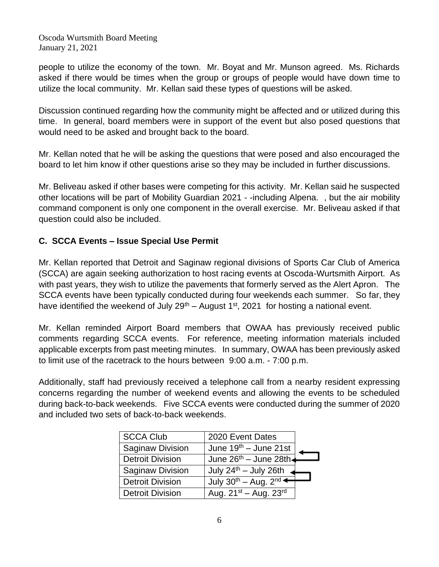people to utilize the economy of the town. Mr. Boyat and Mr. Munson agreed. Ms. Richards asked if there would be times when the group or groups of people would have down time to utilize the local community. Mr. Kellan said these types of questions will be asked.

Discussion continued regarding how the community might be affected and or utilized during this time. In general, board members were in support of the event but also posed questions that would need to be asked and brought back to the board.

Mr. Kellan noted that he will be asking the questions that were posed and also encouraged the board to let him know if other questions arise so they may be included in further discussions.

Mr. Beliveau asked if other bases were competing for this activity. Mr. Kellan said he suspected other locations will be part of Mobility Guardian 2021 - -including Alpena. , but the air mobility command component is only one component in the overall exercise. Mr. Beliveau asked if that question could also be included.

## **C. SCCA Events – Issue Special Use Permit**

Mr. Kellan reported that Detroit and Saginaw regional divisions of Sports Car Club of America (SCCA) are again seeking authorization to host racing events at Oscoda-Wurtsmith Airport. As with past years, they wish to utilize the pavements that formerly served as the Alert Apron. The SCCA events have been typically conducted during four weekends each summer. So far, they have identified the weekend of July 29<sup>th</sup> – August 1<sup>st</sup>, 2021 for hosting a national event.

Mr. Kellan reminded Airport Board members that OWAA has previously received public comments regarding SCCA events. For reference, meeting information materials included applicable excerpts from past meeting minutes. In summary, OWAA has been previously asked to limit use of the racetrack to the hours between 9:00 a.m. - 7:00 p.m.

Additionally, staff had previously received a telephone call from a nearby resident expressing concerns regarding the number of weekend events and allowing the events to be scheduled during back-to-back weekends. Five SCCA events were conducted during the summer of 2020 and included two sets of back-to-back weekends.

| <b>SCCA Club</b>        | 2020 Event Dates                |  |
|-------------------------|---------------------------------|--|
| <b>Saginaw Division</b> | June $19th -$ June 21st         |  |
| <b>Detroit Division</b> | June 26th - June 28th           |  |
| <b>Saginaw Division</b> | July $24^{th}$ – July 26th      |  |
| <b>Detroit Division</b> | July $30^{th}$ - Aug. $2^{nd}$  |  |
| <b>Detroit Division</b> | Aug. $21^{st}$ – Aug. $23^{rd}$ |  |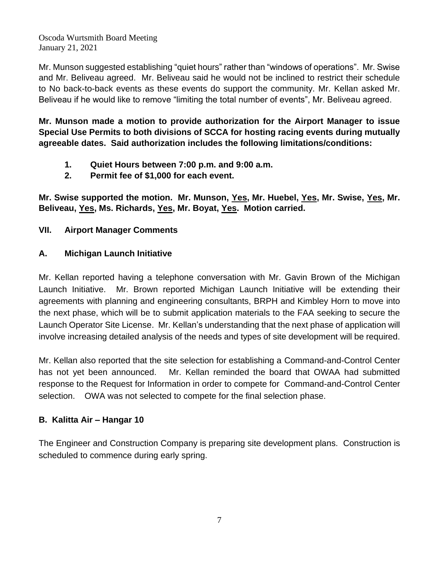Mr. Munson suggested establishing "quiet hours" rather than "windows of operations". Mr. Swise and Mr. Beliveau agreed. Mr. Beliveau said he would not be inclined to restrict their schedule to No back-to-back events as these events do support the community. Mr. Kellan asked Mr. Beliveau if he would like to remove "limiting the total number of events", Mr. Beliveau agreed.

**Mr. Munson made a motion to provide authorization for the Airport Manager to issue Special Use Permits to both divisions of SCCA for hosting racing events during mutually agreeable dates. Said authorization includes the following limitations/conditions:**

- **1. Quiet Hours between 7:00 p.m. and 9:00 a.m.**
- **2. Permit fee of \$1,000 for each event.**

**Mr. Swise supported the motion. Mr. Munson, Yes, Mr. Huebel, Yes, Mr. Swise, Yes, Mr. Beliveau, Yes, Ms. Richards, Yes, Mr. Boyat, Yes. Motion carried.**

# **VII. Airport Manager Comments**

## **A. Michigan Launch Initiative**

Mr. Kellan reported having a telephone conversation with Mr. Gavin Brown of the Michigan Launch Initiative. Mr. Brown reported Michigan Launch Initiative will be extending their agreements with planning and engineering consultants, BRPH and Kimbley Horn to move into the next phase, which will be to submit application materials to the FAA seeking to secure the Launch Operator Site License. Mr. Kellan's understanding that the next phase of application will involve increasing detailed analysis of the needs and types of site development will be required.

Mr. Kellan also reported that the site selection for establishing a Command-and-Control Center has not yet been announced. Mr. Kellan reminded the board that OWAA had submitted response to the Request for Information in order to compete for Command-and-Control Center selection. OWA was not selected to compete for the final selection phase.

## **B. Kalitta Air – Hangar 10**

The Engineer and Construction Company is preparing site development plans. Construction is scheduled to commence during early spring.